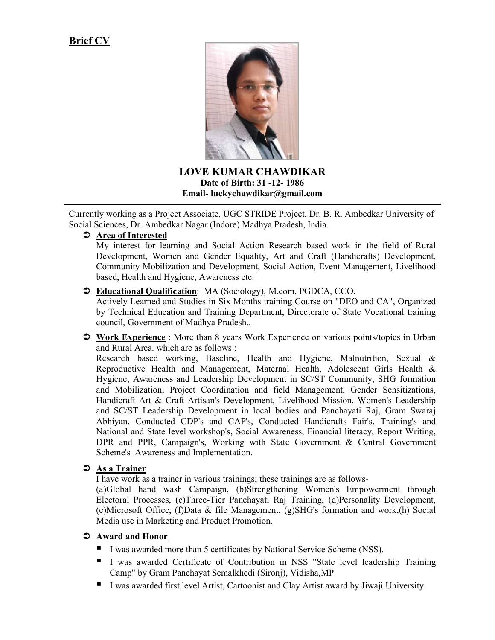# Brief CV



LOVE KUMAR CHAWDIKAR Date of Birth: 31 -12- 1986 Email- luckychawdikar@gmail.com

 Currently working as a Project Associate, UGC STRIDE Project, Dr. B. R. Ambedkar University of Social Sciences, Dr. Ambedkar Nagar (Indore) Madhya Pradesh, India.

### $\supset$  Area of Interested

My interest for learning and Social Action Research based work in the field of Rural Development, Women and Gender Equality, Art and Craft (Handicrafts) Development, Community Mobilization and Development, Social Action, Event Management, Livelihood based, Health and Hygiene, Awareness etc.

#### $\supset$  Educational Qualification: MA (Sociology), M.com, PGDCA, CCO.

Actively Learned and Studies in Six Months training Course on "DEO and CA", Organized by Technical Education and Training Department, Directorate of State Vocational training council, Government of Madhya Pradesh..

 Work Experience : More than 8 years Work Experience on various points/topics in Urban and Rural Area. which are as follows :

Research based working, Baseline, Health and Hygiene, Malnutrition, Sexual & Reproductive Health and Management, Maternal Health, Adolescent Girls Health & Hygiene, Awareness and Leadership Development in SC/ST Community, SHG formation and Mobilization, Project Coordination and field Management, Gender Sensitizations, Handicraft Art & Craft Artisan's Development, Livelihood Mission, Women's Leadership and SC/ST Leadership Development in local bodies and Panchayati Raj, Gram Swaraj Abhiyan, Conducted CDP's and CAP's, Conducted Handicrafts Fair's, Training's and National and State level workshop's, Social Awareness, Financial literacy, Report Writing, DPR and PPR, Campaign's, Working with State Government & Central Government Scheme's Awareness and Implementation.

#### $\supset$  As a Trainer

I have work as a trainer in various trainings; these trainings are as follows-

(a)Global hand wash Campaign, (b)Strengthening Women's Empowerment through Electoral Processes, (c)Three-Tier Panchayati Raj Training, (d)Personality Development, (e)Microsoft Office, (f)Data & file Management, (g)SHG's formation and work,(h) Social Media use in Marketing and Product Promotion.

### Award and Honor

- I was awarded more than 5 certificates by National Service Scheme (NSS).
- I was awarded Certificate of Contribution in NSS "State level leadership Training Camp" by Gram Panchayat Semalkhedi (Sironj), Vidisha,MP
- I was awarded first level Artist, Cartoonist and Clay Artist award by Jiwaji University.